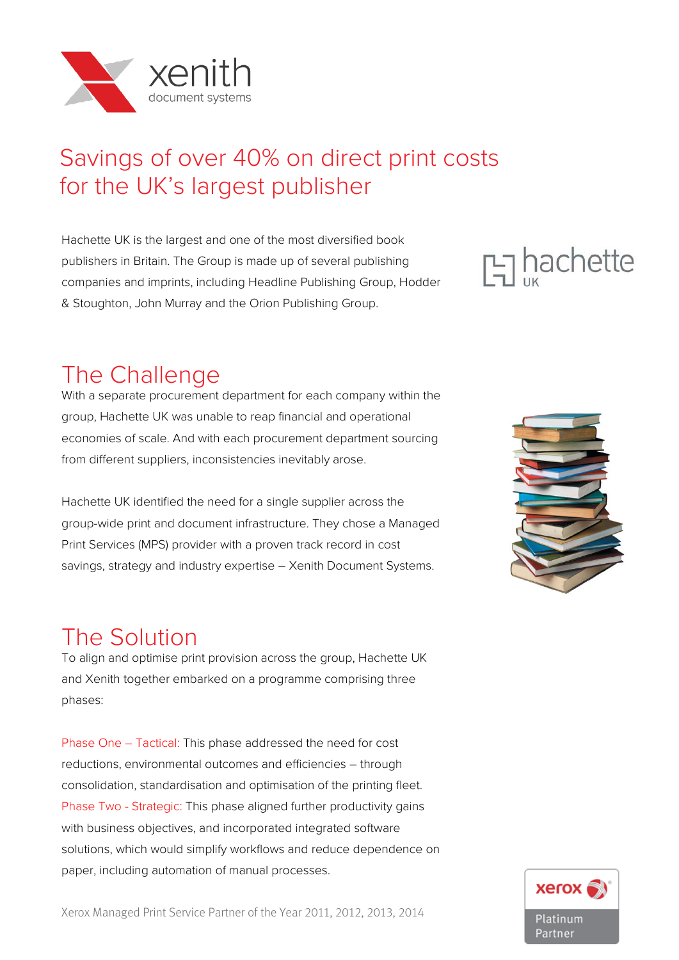

# Savings of over 40% on direct print costs for the UK's largest publisher

Hachette UK is the largest and one of the most diversified book publishers in Britain. The Group is made up of several publishing companies and imprints, including Headline Publishing Group, Hodder & Stoughton, John Murray and the Orion Publishing Group.

# **Ed hachette**

## The Challenge

With a separate procurement department for each company within the group, Hachette UK was unable to reap financial and operational economies of scale. And with each procurement department sourcing from different suppliers, inconsistencies inevitably arose.

Hachette UK identified the need for a single supplier across the group-wide print and document infrastructure. They chose a Managed Print Services (MPS) provider with a proven track record in cost savings, strategy and industry expertise – Xenith Document Systems.



## The Solution

To align and optimise print provision across the group, Hachette UK and Xenith together embarked on a programme comprising three phases:

Phase One – Tactical: This phase addressed the need for cost reductions, environmental outcomes and efficiencies – through consolidation, standardisation and optimisation of the printing fleet. Phase Two - Strategic: This phase aligned further productivity gains with business objectives, and incorporated integrated software solutions, which would simplify workflows and reduce dependence on paper, including automation of manual processes.



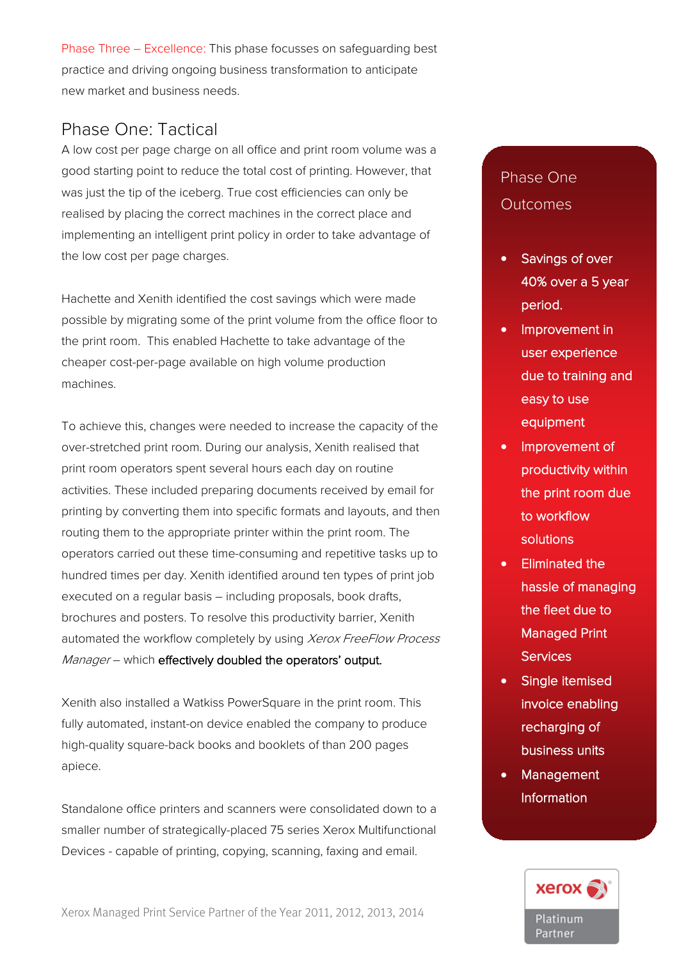Phase Three – Excellence: This phase focusses on safeguarding best practice and driving ongoing business transformation to anticipate new market and business needs.

### Phase One: Tactical

A low cost per page charge on all office and print room volume was a good starting point to reduce the total cost of printing. However, that was just the tip of the iceberg. True cost efficiencies can only be realised by placing the correct machines in the correct place and implementing an intelligent print policy in order to take advantage of the low cost per page charges.

Hachette and Xenith identified the cost savings which were made possible by migrating some of the print volume from the office floor to the print room. This enabled Hachette to take advantage of the cheaper cost-per-page available on high volume production machines.

To achieve this, changes were needed to increase the capacity of the over-stretched print room. During our analysis, Xenith realised that print room operators spent several hours each day on routine activities. These included preparing documents received by email for printing by converting them into specific formats and layouts, and then routing them to the appropriate printer within the print room. The operators carried out these time-consuming and repetitive tasks up to hundred times per day. Xenith identified around ten types of print job executed on a regular basis – including proposals, book drafts, brochures and posters. To resolve this productivity barrier, Xenith automated the workflow completely by using Xerox FreeFlow Process Manager – which effectively doubled the operators' output.

Xenith also installed a Watkiss PowerSquare in the print room. This fully automated, instant-on device enabled the company to produce high-quality square-back books and booklets of than 200 pages apiece.

Standalone office printers and scanners were consolidated down to a smaller number of strategically-placed 75 series Xerox Multifunctional Devices - capable of printing, copying, scanning, faxing and email.

Xerox Managed Print Service Partner of the Year 2011, 2012, 2013, 2014

## Phase One Phase One Outcomes Outcomes

- Savings of over 40% over a 5 year period period.
- Improvement in user experience due to training and easy to use equipment
- Improvement of productivity within the print room due to workflow solutions
- Eliminated the hassle of managing the fleet due to Managed Print • Management **Services**
- Single itemised invoice enabling recharging of business units
- Management **Information**

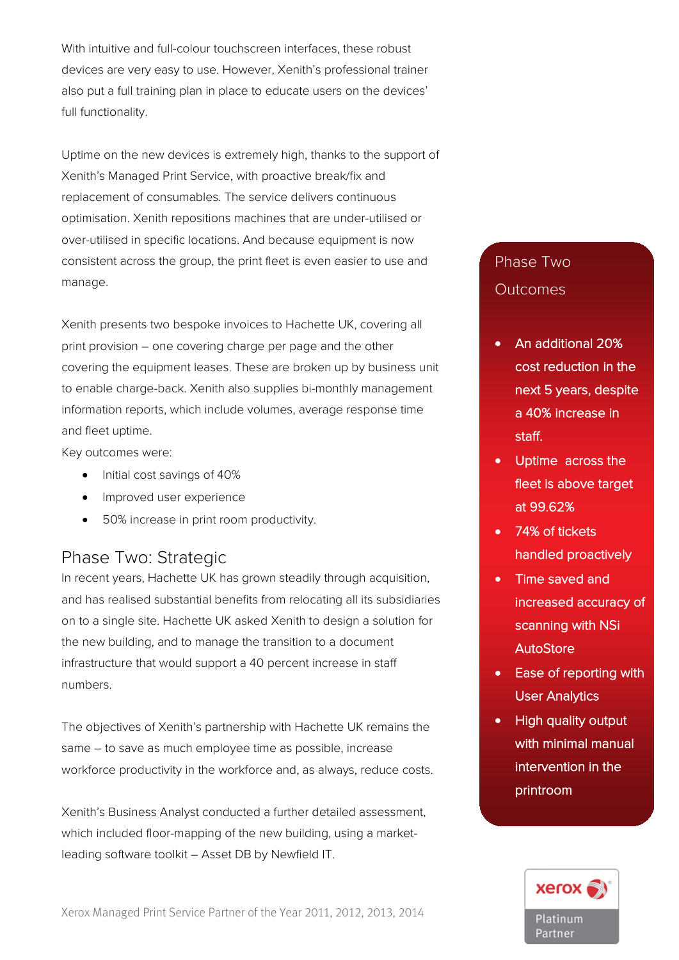With intuitive and full-colour touchscreen interfaces, these robust devices are very easy to use. However, Xenith's professional trainer also put a full training plan in place to educate users on the devices' full functionality.

Uptime on the new devices is extremely high, thanks to the support of Xenith's Managed Print Service, with proactive break/fix and replacement of consumables. The service delivers continuous optimisation. Xenith repositions machines that are under-utilised or over-utilised in specific locations. And because equipment is now consistent across the group, the print fleet is even easier to use and manage.

Xenith presents two bespoke invoices to Hachette UK, covering all print provision – one covering charge per page and the other covering the equipment leases. These are broken up by business unit to enable charge-back. Xenith also supplies bi-monthly management information reports, which include volumes, average response time and fleet uptime.

Key outcomes were:

- Initial cost savings of 40%
- Improved user experience
- 50% increase in print room productivity.

#### Phase Two: Strategic

In recent years, Hachette UK has grown steadily through acquisition, and has realised substantial benefits from relocating all its subsidiaries on to a single site. Hachette UK asked Xenith to design a solution for the new building, and to manage the transition to a document infrastructure that would support a 40 percent increase in staff numbers.

The objectives of Xenith's partnership with Hachette UK remains the same – to save as much employee time as possible, increase workforce productivity in the workforce and, as always, reduce costs.

Xenith's Business Analyst conducted a further detailed assessment, which included floor-mapping of the new building, using a marketleading software toolkit – Asset DB by Newfield IT.

Xerox Managed Print Service Partner of the Year 2011, 2012, 2013, 2014

#### Phase Two **Outcomes**

- An additional 20% cost reduction in the next 5 years, despite a 40% increase in staff.
- Uptime across the fleet is above target at 99.62%
- 74% of tickets handled proactively
- Time saved and increased accuracy of scanning with NSi AutoStore
- Ease of reporting with User Analytics
- High quality output with minimal manual intervention in the printroom